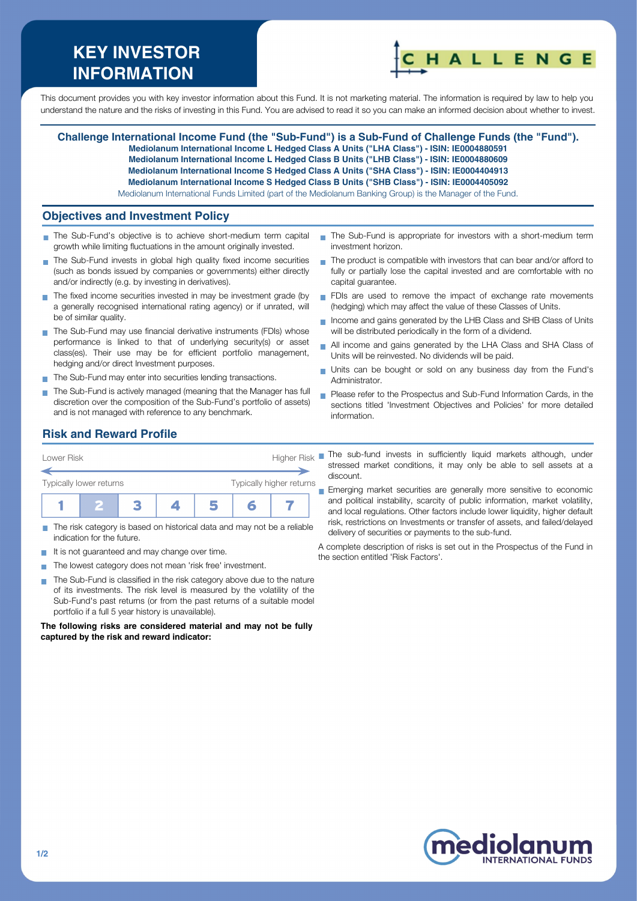# **KEY INVESTOR INFORMATION**



This document provides you with key investor information about this Fund. It is not marketing material. The information is required by law to help you understand the nature and the risks of investing in this Fund. You are advised to read it so you can make an informed decision about whether to invest.

**Challenge International Income Fund (the "Sub-Fund") is a Sub-Fund of Challenge Funds (the "Fund"). Mediolanum International Income L Hedged Class A Units ("LHA Class") - ISIN: IE0004880591**

**Mediolanum International Income L Hedged Class B Units ("LHB Class") - ISIN: IE0004880609 Mediolanum International Income S Hedged Class A Units ("SHA Class") - ISIN: IE0004404913**

**Mediolanum International Income S Hedged Class B Units ("SHB Class") - ISIN: IE0004405092**

Mediolanum International Funds Limited (part of the Mediolanum Banking Group) is the Manager of the Fund.

### **Objectives and Investment Policy**

- The Sub-Fund's objective is to achieve short-medium term capital growth while limiting fluctuations in the amount originally invested.
- The Sub-Fund invests in global high quality fixed income securities (such as bonds issued by companies or governments) either directly and/or indirectly (e.g. by investing in derivatives).
- The fixed income securities invested in may be investment grade (by a generally recognised international rating agency) or if unrated, will be of similar quality.
- The Sub-Fund may use financial derivative instruments (FDIs) whose performance is linked to that of underlying security(s) or asset class(es). Their use may be for efficient portfolio management, hedging and/or direct Investment purposes.
- The Sub-Fund may enter into securities lending transactions.
- The Sub-Fund is actively managed (meaning that the Manager has full discretion over the composition of the Sub-Fund's portfolio of assets) and is not managed with reference to any benchmark.
- The Sub-Fund is appropriate for investors with a short-medium term investment horizon.
- $\blacksquare$  The product is compatible with investors that can bear and/or afford to fully or partially lose the capital invested and are comfortable with no capital guarantee.
- FDIs are used to remove the impact of exchange rate movements (hedging) which may affect the value of these Classes of Units.
- Income and gains generated by the LHB Class and SHB Class of Units will be distributed periodically in the form of a dividend.
- All income and gains generated by the LHA Class and SHA Class of  $\blacksquare$ Units will be reinvested. No dividends will be paid.
- Units can be bought or sold on any business day from the Fund's Administrator.
- **Please refer to the Prospectus and Sub-Fund Information Cards, in the** sections titled 'Investment Objectives and Policies' for more detailed information.

## **Risk and Reward Profile**

| Lower Risk                                          |  |  | <b>Higher Risk</b> |  |  |  |  |
|-----------------------------------------------------|--|--|--------------------|--|--|--|--|
| Typically higher returns<br>Typically lower returns |  |  |                    |  |  |  |  |
|                                                     |  |  |                    |  |  |  |  |

- The risk category is based on historical data and may not be a reliable indication for the future.
- It is not guaranteed and may change over time.
- The lowest category does not mean 'risk free' investment.  $\sim$
- The Sub-Fund is classified in the risk category above due to the nature  $\sim$ of its investments. The risk level is measured by the volatility of the Sub-Fund's past returns (or from the past returns of a suitable model portfolio if a full 5 year history is unavailable).

**The following risks are considered material and may not be fully captured by the risk and reward indicator:**

The sub-fund invests in sufficiently liquid markets although, under stressed market conditions, it may only be able to sell assets at a discount.

**Emerging market securities are generally more sensitive to economic** and political instability, scarcity of public information, market volatility, and local regulations. Other factors include lower liquidity, higher default risk, restrictions on Investments or transfer of assets, and failed/delayed delivery of securities or payments to the sub-fund.

A complete description of risks is set out in the Prospectus of the Fund in the section entitled 'Risk Factors'.